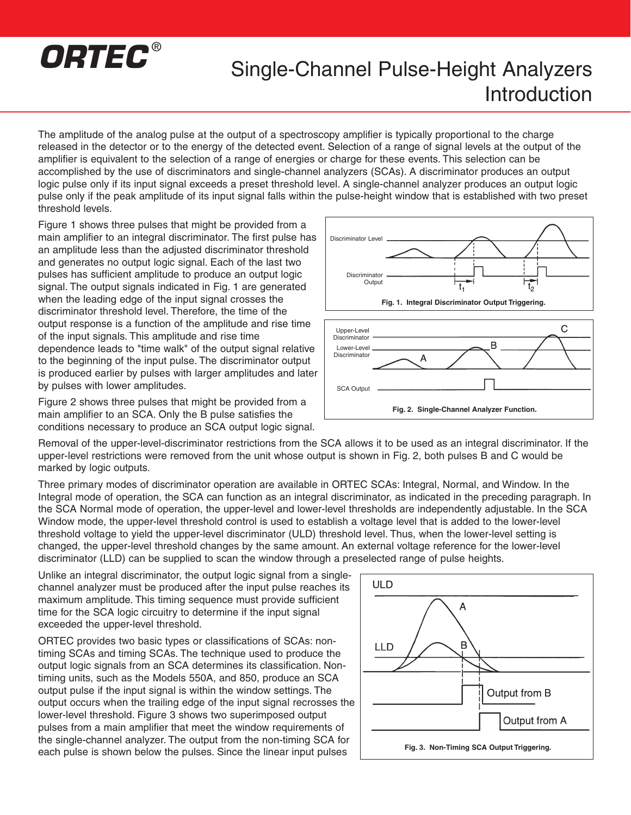## *ORTEC* ®

## Single-Channel Pulse-Height Analyzers Introduction

The amplitude of the analog pulse at the output of a spectroscopy amplifier is typically proportional to the charge released in the detector or to the energy of the detected event. Selection of a range of signal levels at the output of the amplifier is equivalent to the selection of a range of energies or charge for these events. This selection can be accomplished by the use of discriminators and single-channel analyzers (SCAs). A discriminator produces an output logic pulse only if its input signal exceeds a preset threshold level. A single-channel analyzer produces an output logic pulse only if the peak amplitude of its input signal falls within the pulse-height window that is established with two preset threshold levels.

Figure 1 shows three pulses that might be provided from a main amplifier to an integral discriminator. The first pulse has an amplitude less than the adjusted discriminator threshold and generates no output logic signal. Each of the last two pulses has sufficient amplitude to produce an output logic signal. The output signals indicated in Fig. 1 are generated when the leading edge of the input signal crosses the discriminator threshold level. Therefore, the time of the output response is a function of the amplitude and rise time of the input signals. This amplitude and rise time dependence leads to "time walk" of the output signal relative to the beginning of the input pulse. The discriminator output is produced earlier by pulses with larger amplitudes and later by pulses with lower amplitudes.

Figure 2 shows three pulses that might be provided from a main amplifier to an SCA. Only the B pulse satisfies the conditions necessary to produce an SCA output logic signal.





Removal of the upper-level-discriminator restrictions from the SCA allows it to be used as an integral discriminator. If the upper-level restrictions were removed from the unit whose output is shown in Fig. 2, both pulses B and C would be marked by logic outputs.

Three primary modes of discriminator operation are available in ORTEC SCAs: Integral, Normal, and Window. In the Integral mode of operation, the SCA can function as an integral discriminator, as indicated in the preceding paragraph. In the SCA Normal mode of operation, the upper-level and lower-level thresholds are independently adjustable. In the SCA Window mode, the upper-level threshold control is used to establish a voltage level that is added to the lower-level threshold voltage to yield the upper-level discriminator (ULD) threshold level. Thus, when the lower-level setting is changed, the upper-level threshold changes by the same amount. An external voltage reference for the lower-level discriminator (LLD) can be supplied to scan the window through a preselected range of pulse heights.

Unlike an integral discriminator, the output logic signal from a singlechannel analyzer must be produced after the input pulse reaches its maximum amplitude. This timing sequence must provide sufficient time for the SCA logic circuitry to determine if the input signal exceeded the upper-level threshold.

ORTEC provides two basic types or classifications of SCAs: nontiming SCAs and timing SCAs. The technique used to produce the output logic signals from an SCA determines its classification. Nontiming units, such as the Models 550A, and 850, produce an SCA output pulse if the input signal is within the window settings. The output occurs when the trailing edge of the input signal recrosses the lower-level threshold. Figure 3 shows two superimposed output pulses from a main amplifier that meet the window requirements of the single-channel analyzer. The output from the non-timing SCA for each pulse is shown below the pulses. Since the linear input pulses

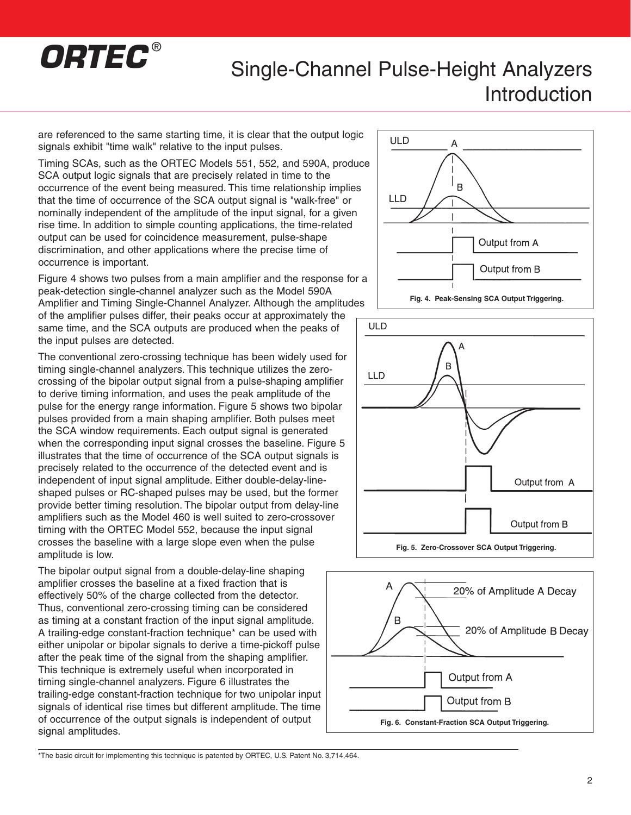

## Single-Channel Pulse-Height Analyzers Introduction

are referenced to the same starting time, it is clear that the output logic signals exhibit "time walk" relative to the input pulses.

Timing SCAs, such as the ORTEC Models 551, 552, and 590A, produce SCA output logic signals that are precisely related in time to the occurrence of the event being measured. This time relationship implies that the time of occurrence of the SCA output signal is "walk-free" or nominally independent of the amplitude of the input signal, for a given rise time. In addition to simple counting applications, the time-related output can be used for coincidence measurement, pulse-shape discrimination, and other applications where the precise time of occurrence is important.

Figure 4 shows two pulses from a main amplifier and the response for a peak-detection single-channel analyzer such as the Model 590A Amplifier and Timing Single-Channel Analyzer. Although the amplitudes

of the amplifier pulses differ, their peaks occur at approximately the same time, and the SCA outputs are produced when the peaks of the input pulses are detected.

The conventional zero-crossing technique has been widely used for timing single-channel analyzers. This technique utilizes the zerocrossing of the bipolar output signal from a pulse-shaping amplifier to derive timing information, and uses the peak amplitude of the pulse for the energy range information. Figure 5 shows two bipolar pulses provided from a main shaping amplifier. Both pulses meet the SCA window requirements. Each output signal is generated when the corresponding input signal crosses the baseline. Figure 5 illustrates that the time of occurrence of the SCA output signals is precisely related to the occurrence of the detected event and is independent of input signal amplitude. Either double-delay-lineshaped pulses or RC-shaped pulses may be used, but the former provide better timing resolution. The bipolar output from delay-line amplifiers such as the Model 460 is well suited to zero-crossover timing with the ORTEC Model 552, because the input signal crosses the baseline with a large slope even when the pulse amplitude is low.

The bipolar output signal from a double-delay-line shaping amplifier crosses the baseline at a fixed fraction that is effectively 50% of the charge collected from the detector. Thus, conventional zero-crossing timing can be considered as timing at a constant fraction of the input signal amplitude. A trailing-edge constant-fraction technique\* can be used with either unipolar or bipolar signals to derive a time-pickoff pulse after the peak time of the signal from the shaping amplifier. This technique is extremely useful when incorporated in timing single-channel analyzers. Figure 6 illustrates the trailing-edge constant-fraction technique for two unipolar input signals of identical rise times but different amplitude. The time of occurrence of the output signals is independent of output signal amplitudes.







\*The basic circuit for implementing this technique is patented by ORTEC, U.S. Patent No. 3,714,464.